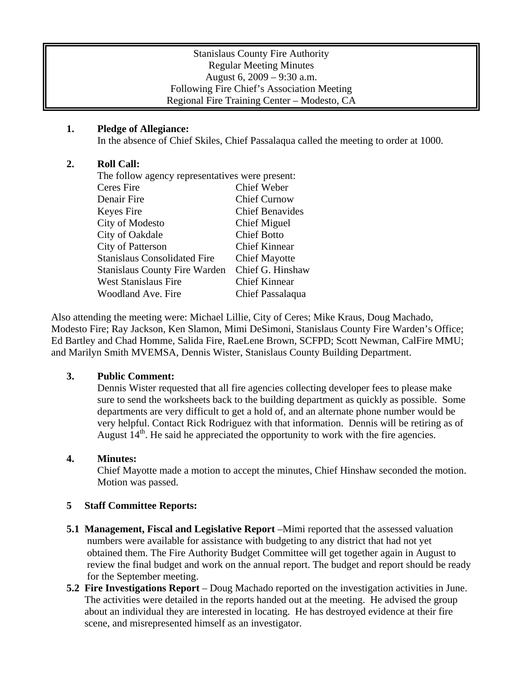### Stanislaus County Fire Authority Regular Meeting Minutes August 6, 2009 – 9:30 a.m. Following Fire Chief's Association Meeting Regional Fire Training Center – Modesto, CA

# **1. Pledge of Allegiance:**

In the absence of Chief Skiles, Chief Passalaqua called the meeting to order at 1000.

#### **2. Roll Call:**

| The follow agency representatives were present: |  |
|-------------------------------------------------|--|
| Chief Weber                                     |  |
| <b>Chief Curnow</b>                             |  |
| <b>Chief Benavides</b>                          |  |
| <b>Chief Miguel</b>                             |  |
| <b>Chief Botto</b>                              |  |
| <b>Chief Kinnear</b>                            |  |
| <b>Chief Mayotte</b>                            |  |
| Chief G. Hinshaw                                |  |
| <b>Chief Kinnear</b>                            |  |
| Chief Passalaqua                                |  |
|                                                 |  |

Also attending the meeting were: Michael Lillie, City of Ceres; Mike Kraus, Doug Machado, Modesto Fire; Ray Jackson, Ken Slamon, Mimi DeSimoni, Stanislaus County Fire Warden's Office; Ed Bartley and Chad Homme, Salida Fire, RaeLene Brown, SCFPD; Scott Newman, CalFire MMU; and Marilyn Smith MVEMSA, Dennis Wister, Stanislaus County Building Department.

# **3. Public Comment:**

Dennis Wister requested that all fire agencies collecting developer fees to please make sure to send the worksheets back to the building department as quickly as possible. Some departments are very difficult to get a hold of, and an alternate phone number would be very helpful. Contact Rick Rodriguez with that information. Dennis will be retiring as of August  $14<sup>th</sup>$ . He said he appreciated the opportunity to work with the fire agencies.

#### **4. Minutes:**

Chief Mayotte made a motion to accept the minutes, Chief Hinshaw seconded the motion. Motion was passed.

#### **5 Staff Committee Reports:**

- **5.1 Management, Fiscal and Legislative Report** –Mimi reported that the assessed valuation numbers were available for assistance with budgeting to any district that had not yet obtained them. The Fire Authority Budget Committee will get together again in August to review the final budget and work on the annual report. The budget and report should be ready for the September meeting.
- **5.2 Fire Investigations Report** Doug Machado reported on the investigation activities in June. The activities were detailed in the reports handed out at the meeting. He advised the group about an individual they are interested in locating. He has destroyed evidence at their fire scene, and misrepresented himself as an investigator.